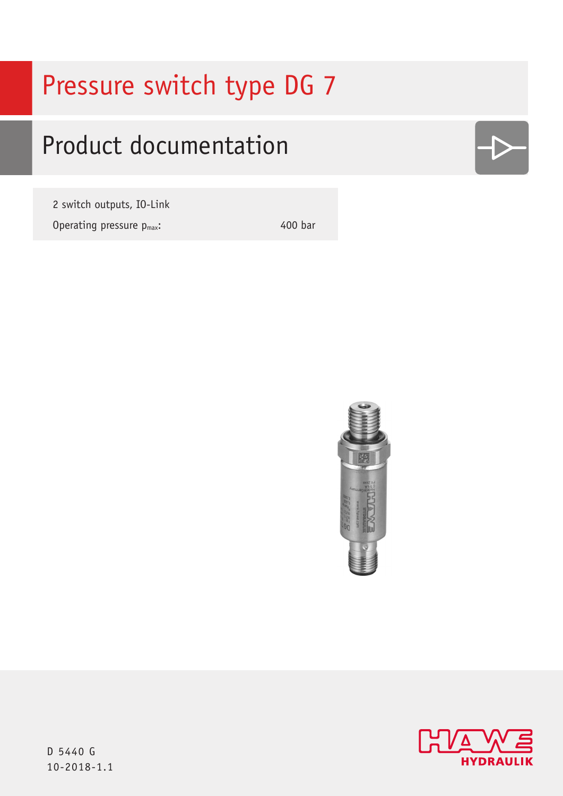# Pressure switch type DG 7

# Product documentation

2 switch outputs, IO-Link Operating pressure  $p_{max}$ : 400 bar





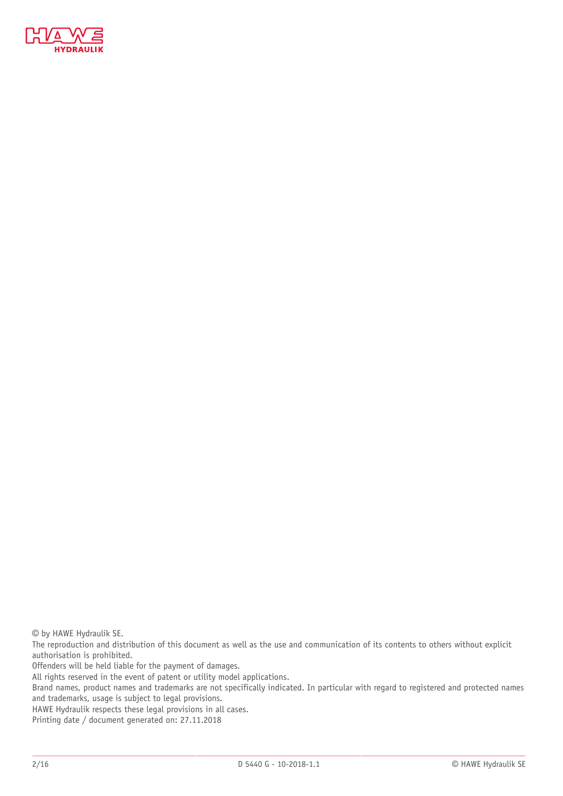

© by HAWE Hydraulik SE.

The reproduction and distribution of this document as well as the use and communication of its contents to others without explicit authorisation is prohibited.

Offenders will be held liable for the payment of damages.

All rights reserved in the event of patent or utility model applications.

Brand names, product names and trademarks are not specifically indicated. In particular with regard to registered and protected names and trademarks, usage is subject to legal provisions.

HAWE Hydraulik respects these legal provisions in all cases.

Printing date / document generated on: 27.11.2018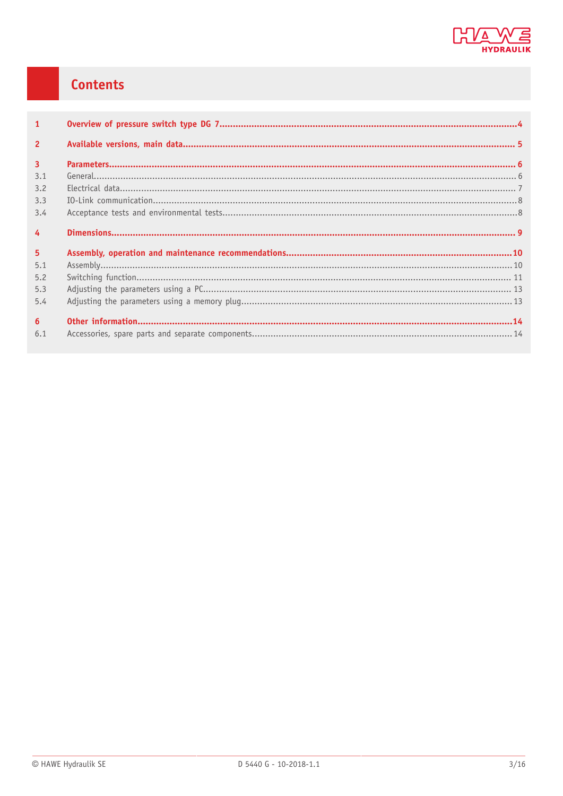

## Contents

| $\mathbf{1}$   |  |
|----------------|--|
| $\overline{2}$ |  |
| $\overline{3}$ |  |
| 3.1            |  |
| 3.2            |  |
| 3.3            |  |
| 3.4            |  |
| $\overline{4}$ |  |
| 5 <sup>5</sup> |  |
| 5.1            |  |
| 5.2            |  |
| 5.3            |  |
| 5.4            |  |
| 6 <sup>1</sup> |  |
| 6.1            |  |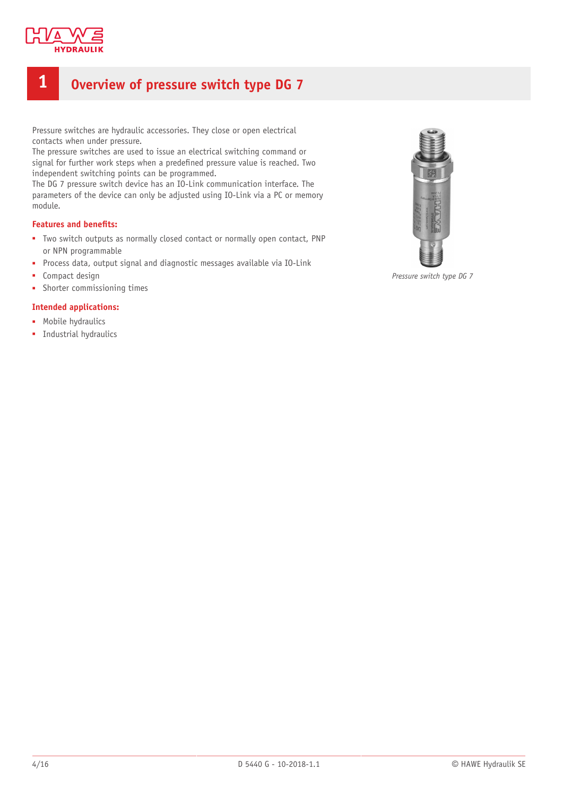

## <span id="page-3-0"></span>**1 Overview of pressure switch type DG 7**

Pressure switches are hydraulic accessories. They close or open electrical contacts when under pressure.

The pressure switches are used to issue an electrical switching command or signal for further work steps when a predefined pressure value is reached. Two independent switching points can be programmed.

The DG 7 pressure switch device has an IO-Link communication interface. The parameters of the device can only be adjusted using IO-Link via a PC or memory module.

#### **Features and benets:**

- Two switch outputs as normally closed contact or normally open contact, PNP or NPN programmable
- Process data, output signal and diagnostic messages available via IO-Link
- Compact design
- Shorter commissioning times

#### **Intended applications:**

- Mobile hydraulics
- Industrial hydraulics



*Pressure switch type DG 7*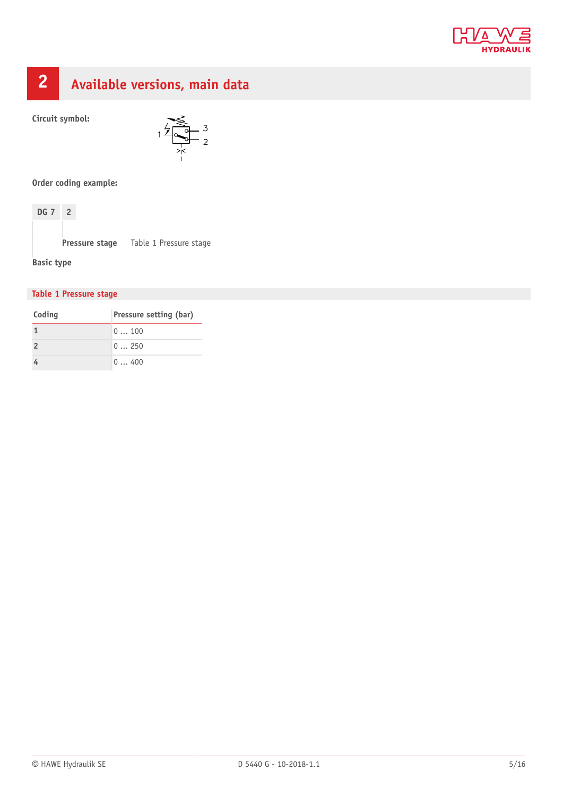

## <span id="page-4-0"></span>**2 Available versions, main data**

**Circuit symbol:**



**Order coding example:**



**Pressure stage** Table 1 Pressure stage

**Basic type**

#### **Table 1 Pressure stage**

| Coding        | Pressure setting (bar) |
|---------------|------------------------|
|               | 0100                   |
| $\mathcal{L}$ | 0250                   |
|               | 0400                   |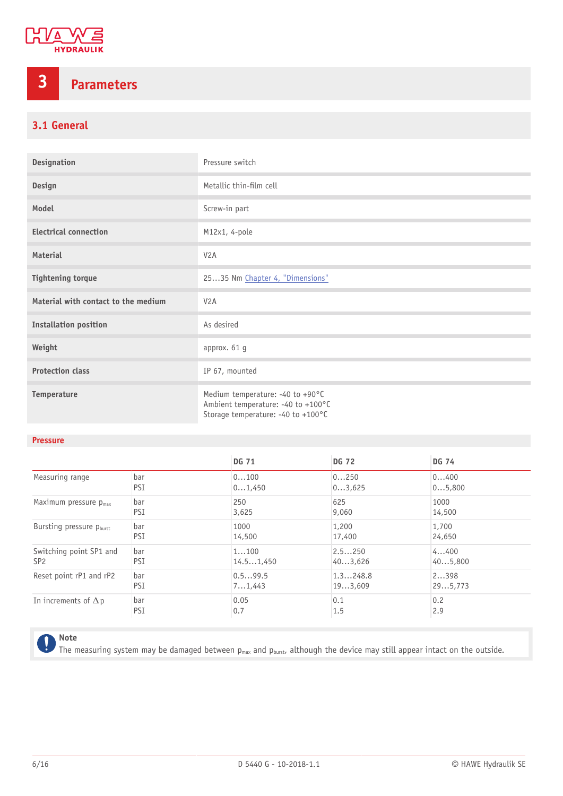

## <span id="page-5-0"></span>**3 Parameters**

#### <span id="page-5-1"></span>**3.1 General**

| <b>Designation</b>                  | Pressure switch                                                                                              |  |
|-------------------------------------|--------------------------------------------------------------------------------------------------------------|--|
| Design                              | Metallic thin-film cell                                                                                      |  |
| Model                               | Screw-in part                                                                                                |  |
| <b>Electrical connection</b>        | M12x1, 4-pole                                                                                                |  |
| <b>Material</b>                     | V <sub>2</sub> A                                                                                             |  |
| <b>Tightening torque</b>            | 2535 Nm Chapter 4, "Dimensions"                                                                              |  |
| Material with contact to the medium | V <sub>2</sub> A                                                                                             |  |
| <b>Installation position</b>        | As desired                                                                                                   |  |
| Weight                              | approx. 61 g                                                                                                 |  |
| <b>Protection class</b>             | IP 67, mounted                                                                                               |  |
| Temperature                         | Medium temperature: -40 to +90°C<br>Ambient temperature: -40 to +100°C<br>Storage temperature: -40 to +100°C |  |

#### **Pressure**

|                                      |     | <b>DG 71</b> | <b>DG 72</b> | <b>DG 74</b> |
|--------------------------------------|-----|--------------|--------------|--------------|
| Measuring range                      | bar | 0100         | 0250         | 0400         |
|                                      | PSI | 01,450       | 03,625       | 05,800       |
| Maximum pressure $p_{max}$           | bar | 250          | 625          | 1000         |
|                                      | PSI | 3,625        | 9,060        | 14,500       |
| Bursting pressure p <sub>burst</sub> | bar | 1000         | 1,200        | 1,700        |
|                                      | PSI | 14,500       | 17,400       | 24,650       |
| Switching point SP1 and              | bar | 1100         | 2.5250       | 4400         |
| SP <sub>2</sub>                      | PSI | 14.51,450    | 403,626      | 405,800      |
| Reset point rP1 and rP2              | bar | 0.599.5      | 1.3248.8     | 2398         |
|                                      | PSI | 71,443       | 193,609      | 295,773      |
| In increments of $\Delta p$          | bar | 0.05         | 0.1          | 0.2          |
|                                      | PSI | 0.7          | 1.5          | 2.9          |

#### **Note** ļ

The measuring system may be damaged between  $p_{max}$  and  $p_{burst}$ , although the device may still appear intact on the outside.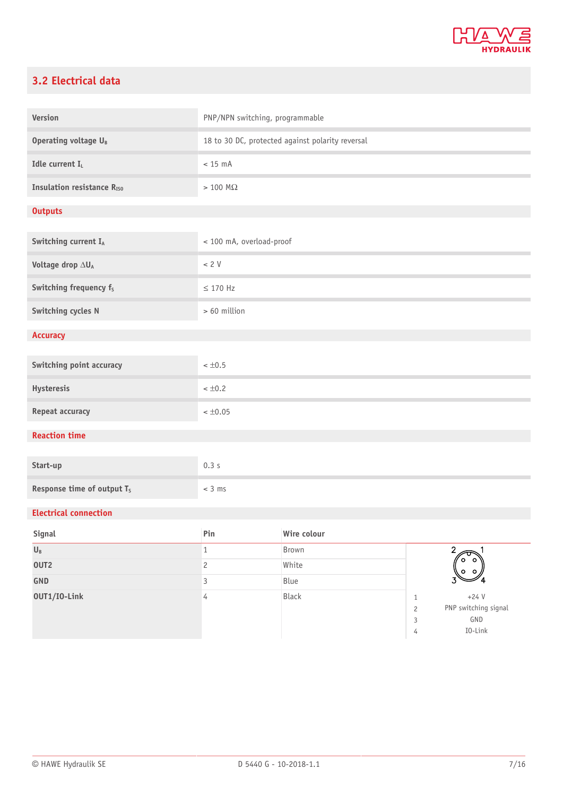

#### <span id="page-6-0"></span>**3.2 Electrical data**

| Version                                | PNP/NPN switching, programmable                  |             |                                                                                          |
|----------------------------------------|--------------------------------------------------|-------------|------------------------------------------------------------------------------------------|
| Operating voltage U <sub>B</sub>       | 18 to 30 DC, protected against polarity reversal |             |                                                                                          |
| Idle current I <sub>L</sub>            | $< 15$ mA                                        |             |                                                                                          |
| <b>Insulation resistance RISO</b>      | $> 100 \text{ M}\Omega$                          |             |                                                                                          |
| <b>Outputs</b>                         |                                                  |             |                                                                                          |
| Switching current IA                   | < 100 mA, overload-proof                         |             |                                                                                          |
| Voltage drop $\Delta U_A$              | $< 2 V$                                          |             |                                                                                          |
| Switching frequency f <sub>s</sub>     | $\leq$ 170 Hz                                    |             |                                                                                          |
| Switching cycles N                     | > 60 million                                     |             |                                                                                          |
| <b>Accuracy</b>                        |                                                  |             |                                                                                          |
| Switching point accuracy               | $< \pm 0.5$                                      |             |                                                                                          |
| Hysteresis                             | $< \pm 0.2$                                      |             |                                                                                          |
| Repeat accuracy                        | $< \pm 0.05$                                     |             |                                                                                          |
| <b>Reaction time</b>                   |                                                  |             |                                                                                          |
| Start-up                               | 0.3s                                             |             |                                                                                          |
| Response time of output T <sub>s</sub> | $<$ 3 ms                                         |             |                                                                                          |
| <b>Electrical connection</b>           |                                                  |             |                                                                                          |
| <b>Signal</b>                          | Pin                                              | Wire colour |                                                                                          |
| $\mathsf{U}_\mathtt{B}$                | $\,1$                                            | Brown       | $\overline{2}$<br>o                                                                      |
| OUT <sub>2</sub>                       | $\mathbf{2}$                                     | White       |                                                                                          |
| GND                                    | $\mathsf{3}$                                     | Blue        |                                                                                          |
| 0UT1/I0-Link                           | $\overline{4}$                                   | Black       | $+24V$<br>$\mathbf{1}$<br>PNP switching signal<br>$\sqrt{2}$<br>GND<br>3<br>I0-Link<br>4 |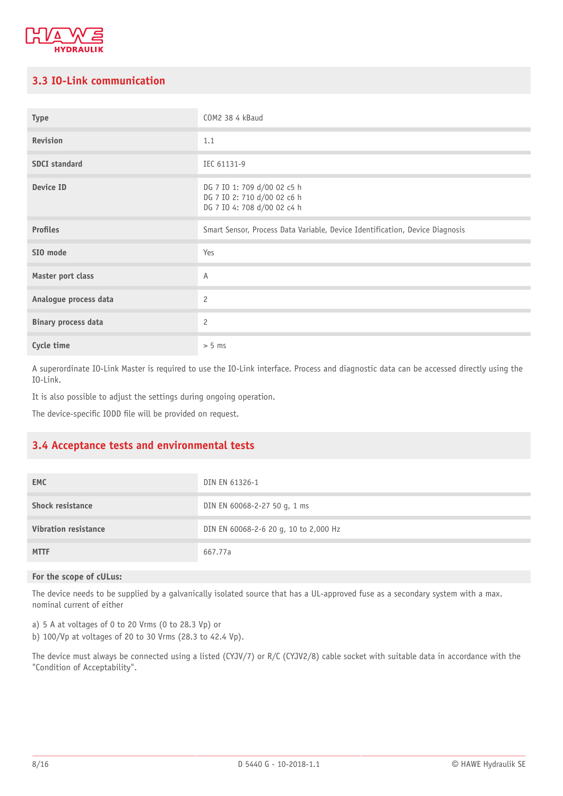

#### <span id="page-7-0"></span>**3.3 IO-Link communication**

| <b>Type</b>                | COM2 38 4 kBaud                                                                           |
|----------------------------|-------------------------------------------------------------------------------------------|
| Revision                   | 1.1                                                                                       |
| <b>SDCI</b> standard       | IEC 61131-9                                                                               |
| Device ID                  | DG 7 IO 1: 709 d/00 02 c5 h<br>DG 7 IO 2: 710 d/00 02 c6 h<br>DG 7 IO 4: 708 d/00 02 c4 h |
| <b>Profiles</b>            | Smart Sensor, Process Data Variable, Device Identification, Device Diagnosis              |
| SIO mode                   | Yes                                                                                       |
| Master port class          | Α                                                                                         |
| Analogue process data      | $\overline{c}$                                                                            |
| <b>Binary process data</b> | $\overline{c}$                                                                            |
| Cycle time                 | > 5 ms                                                                                    |

A superordinate IO-Link Master is required to use the IO-Link interface. Process and diagnostic data can be accessed directly using the IO-Link.

It is also possible to adjust the settings during ongoing operation.

<span id="page-7-1"></span>The device-specific IODD file will be provided on request.

#### **3.4 Acceptance tests and environmental tests**

| <b>EMC</b>                  | DIN EN 61326-1                        |
|-----------------------------|---------------------------------------|
| <b>Shock resistance</b>     | DIN EN 60068-2-27 50 g, 1 ms          |
| <b>Vibration resistance</b> | DIN EN 60068-2-6 20 g, 10 to 2,000 Hz |
| <b>MTTF</b>                 | 667.77a                               |

#### **For the scope of cULus:**

The device needs to be supplied by a galvanically isolated source that has a UL-approved fuse as a secondary system with a max. nominal current of either

a) 5 A at voltages of 0 to 20 Vrms (0 to 28.3 Vp) or

b) 100/Vp at voltages of 20 to 30 Vrms (28.3 to 42.4 Vp).

The device must always be connected using a listed (CYJV/7) or R/C (CYJV2/8) cable socket with suitable data in accordance with the "Condition of Acceptability".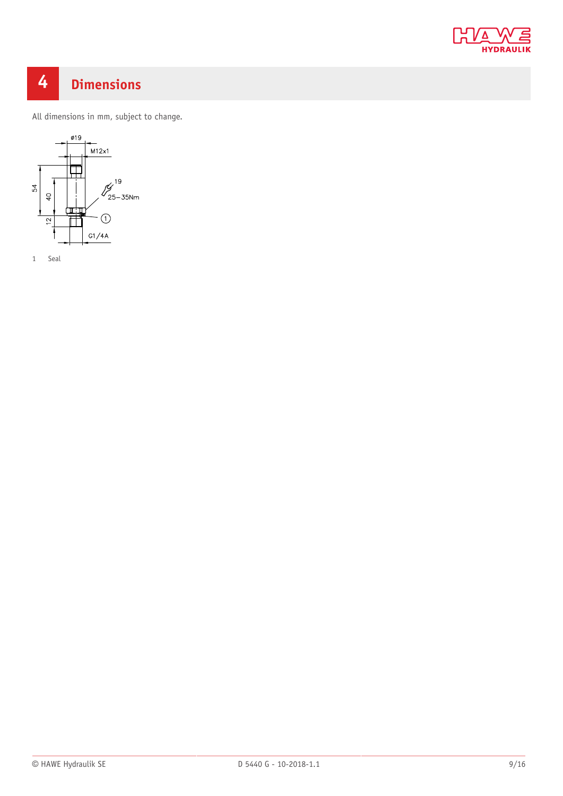

## <span id="page-8-0"></span>**4 Dimensions**

All dimensions in mm, subject to change.

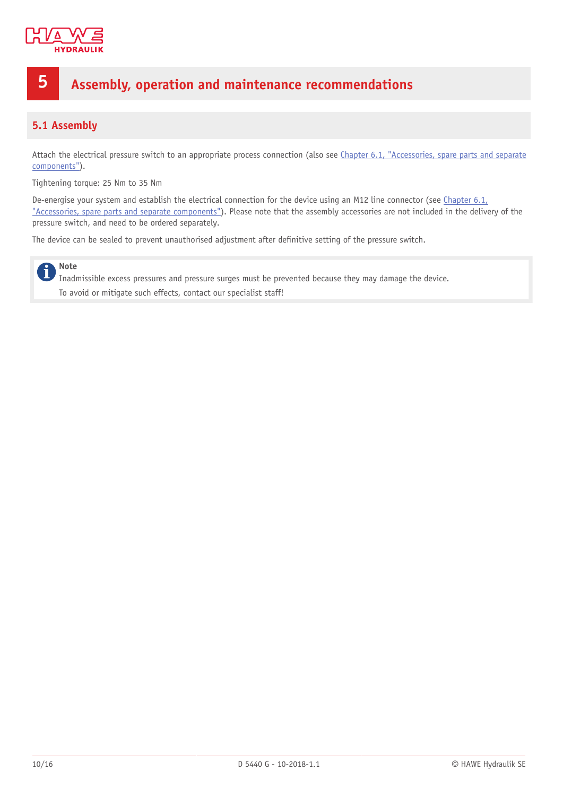

### <span id="page-9-0"></span>**5 Assembly, operation and maintenance recommendations**

#### <span id="page-9-1"></span>**5.1 Assembly**

Attach the electrical pressure switch to an appropriate process connection (also see Chapter 6.1, ["Accessories,](#page-13-1) spare parts and separate [components"\)](#page-13-1).

Tightening torque: 25 Nm to 35 Nm

De-energise your system and establish the electrical connection for the device using an M12 line connector (see [Chapter 6.1,](#page-13-1) ["Accessories,](#page-13-1) spare parts and separate components"). Please note that the assembly accessories are not included in the delivery of the pressure switch, and need to be ordered separately.

The device can be sealed to prevent unauthorised adjustment after definitive setting of the pressure switch.

#### **Note**  $\mathbf i$

Inadmissible excess pressures and pressure surges must be prevented because they may damage the device. To avoid or mitigate such effects, contact our specialist staff!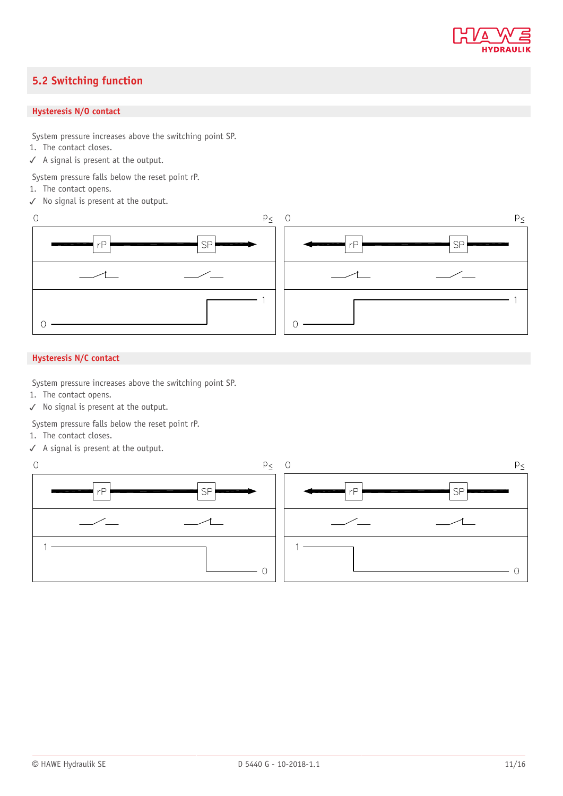

#### <span id="page-10-0"></span>**5.2 Switching function**

#### **Hysteresis N/O contact**

System pressure increases above the switching point SP.

- 1. The contact closes.
- ✓ A signal is present at the output.

System pressure falls below the reset point rP.

- 1. The contact opens.
- ✓ No signal is present at the output.



#### **Hysteresis N/C contact**

System pressure increases above the switching point SP.

- 1. The contact opens.
- ✓ No signal is present at the output.

System pressure falls below the reset point rP.

- 1. The contact closes.
- ✓ A signal is present at the output.

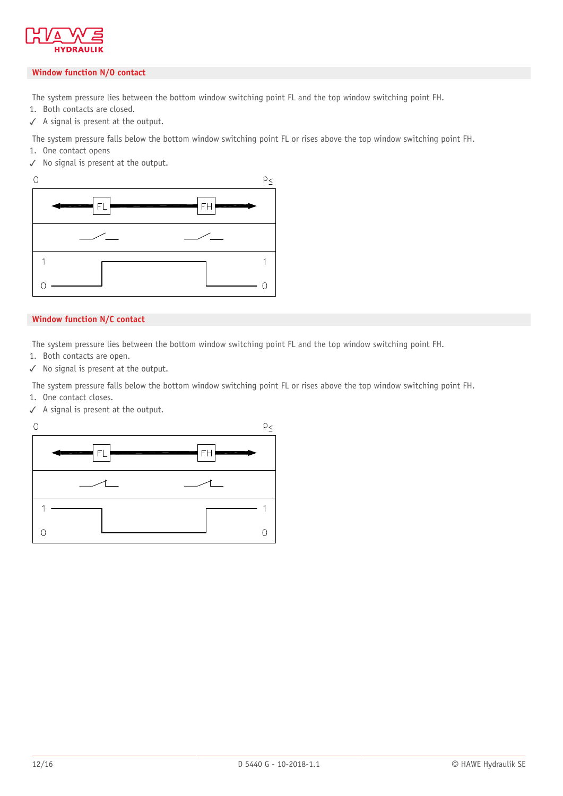

#### **Window function N/O contact**

The system pressure lies between the bottom window switching point FL and the top window switching point FH.

- 1. Both contacts are closed.
- ✓ A signal is present at the output.

The system pressure falls below the bottom window switching point FL or rises above the top window switching point FH.

- 1. One contact opens
- ✓ No signal is present at the output.



#### **Window function N/C contact**

The system pressure lies between the bottom window switching point FL and the top window switching point FH.

- 1. Both contacts are open.
- ✓ No signal is present at the output.

The system pressure falls below the bottom window switching point FL or rises above the top window switching point FH. 1. One contact closes.

✓ A signal is present at the output.

 $\circ$ 

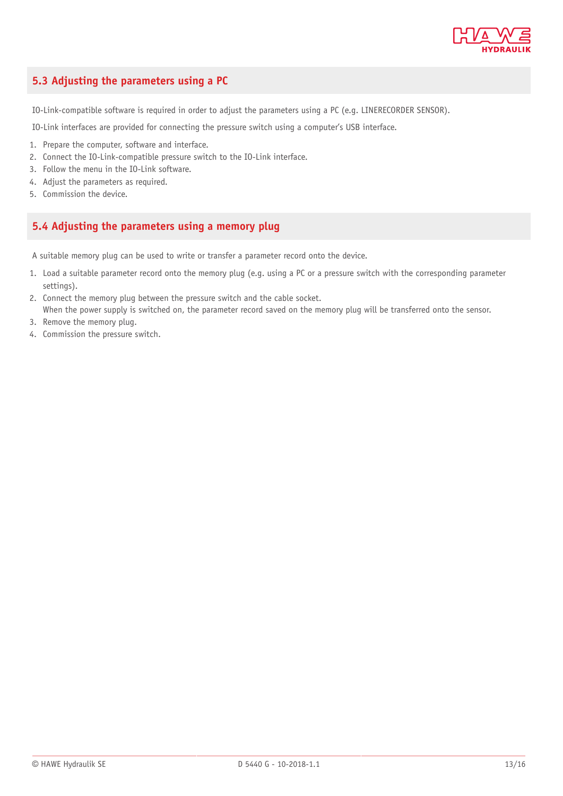

#### <span id="page-12-0"></span>**5.3 Adjusting the parameters using a PC**

IO-Link-compatible software is required in order to adjust the parameters using a PC (e.g. LINERECORDER SENSOR).

IO-Link interfaces are provided for connecting the pressure switch using a computer's USB interface.

- 1. Prepare the computer, software and interface.
- 2. Connect the IO-Link-compatible pressure switch to the IO-Link interface.
- 3. Follow the menu in the IO-Link software.
- 4. Adjust the parameters as required.
- <span id="page-12-1"></span>5. Commission the device.

#### **5.4 Adjusting the parameters using a memory plug**

A suitable memory plug can be used to write or transfer a parameter record onto the device.

- 1. Load a suitable parameter record onto the memory plug (e.g. using a PC or a pressure switch with the corresponding parameter settings).
- 2. Connect the memory plug between the pressure switch and the cable socket.
- When the power supply is switched on, the parameter record saved on the memory plug will be transferred onto the sensor.
- 3. Remove the memory plug.
- 4. Commission the pressure switch.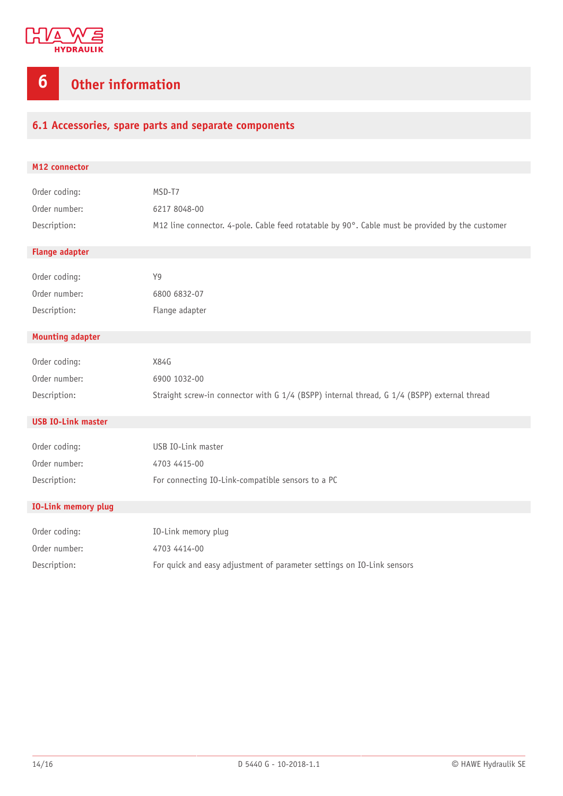

## <span id="page-13-0"></span>**6 Other information**

#### <span id="page-13-1"></span>**6.1 Accessories, spare parts and separate components**

| M12 connector              |                                                                                                 |
|----------------------------|-------------------------------------------------------------------------------------------------|
|                            |                                                                                                 |
| Order coding:              | MSD-T7                                                                                          |
| Order number:              | 6217 8048-00                                                                                    |
| Description:               | M12 line connector. 4-pole. Cable feed rotatable by 90°. Cable must be provided by the customer |
| <b>Flange adapter</b>      |                                                                                                 |
|                            |                                                                                                 |
| Order coding:              | Y9                                                                                              |
| Order number:              | 6800 6832-07                                                                                    |
| Description:               | Flange adapter                                                                                  |
|                            |                                                                                                 |
| <b>Mounting adapter</b>    |                                                                                                 |
| Order coding:              | X84G                                                                                            |
| Order number:              | 6900 1032-00                                                                                    |
| Description:               | Straight screw-in connector with G 1/4 (BSPP) internal thread, G 1/4 (BSPP) external thread     |
|                            |                                                                                                 |
| <b>USB IO-Link master</b>  |                                                                                                 |
|                            |                                                                                                 |
| Order coding:              | USB IO-Link master                                                                              |
| Order number:              | 4703 4415-00                                                                                    |
| Description:               | For connecting IO-Link-compatible sensors to a PC                                               |
|                            |                                                                                                 |
| <b>IO-Link memory plug</b> |                                                                                                 |
| Order coding:              | IO-Link memory plug                                                                             |
| Order number:              | 4703 4414-00                                                                                    |
| Description:               | For quick and easy adjustment of parameter settings on IO-Link sensors                          |
|                            |                                                                                                 |
|                            |                                                                                                 |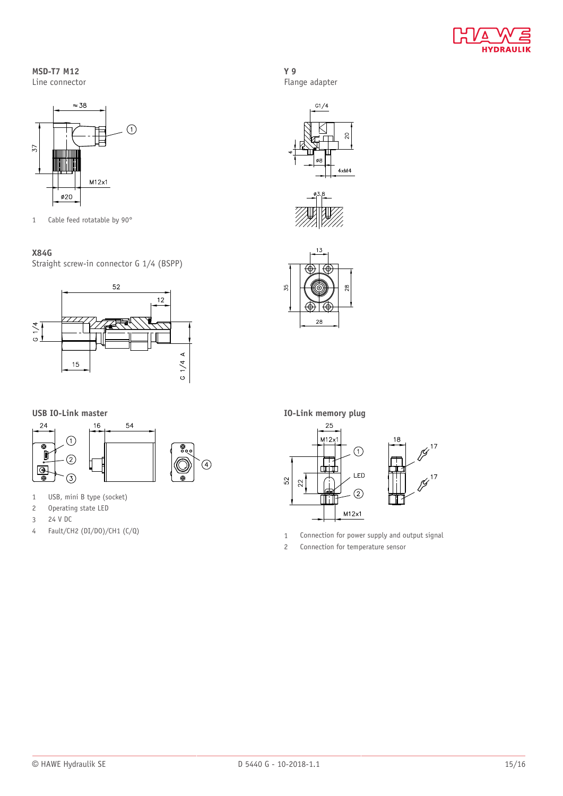

#### **MSD-T7 M12** Line connector



1 Cable feed rotatable by 90°

#### **X84G**

Straight screw-in connector G 1/4 (BSPP)



**USB IO-Link master**



- 1 USB, mini B type (socket)
- 2 Operating state LED
- 3 24 V DC
- 4 Fault/CH2 (DI/DO)/CH1 (C/Q)

**Y 9** Flange adapter







**IO-Link memory plug**



1 Connection for power supply and output signal

2 Connection for temperature sensor